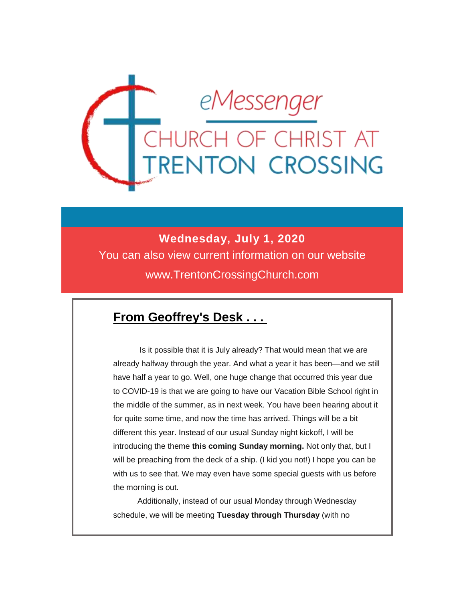

#### **Wednesday, July 1, 2020**

You can also view current information on our website www.TrentonCrossingChurch.com

### **From Geoffrey's Desk . . .**

 Is it possible that it is July already? That would mean that we are already halfway through the year. And what a year it has been—and we still have half a year to go. Well, one huge change that occurred this year due to COVID-19 is that we are going to have our Vacation Bible School right in the middle of the summer, as in next week. You have been hearing about it for quite some time, and now the time has arrived. Things will be a bit different this year. Instead of our usual Sunday night kickoff, I will be introducing the theme **this coming Sunday morning.** Not only that, but I will be preaching from the deck of a ship. (I kid you not!) I hope you can be with us to see that. We may even have some special guests with us before the morning is out.

 Additionally, instead of our usual Monday through Wednesday schedule, we will be meeting **Tuesday through Thursday** (with no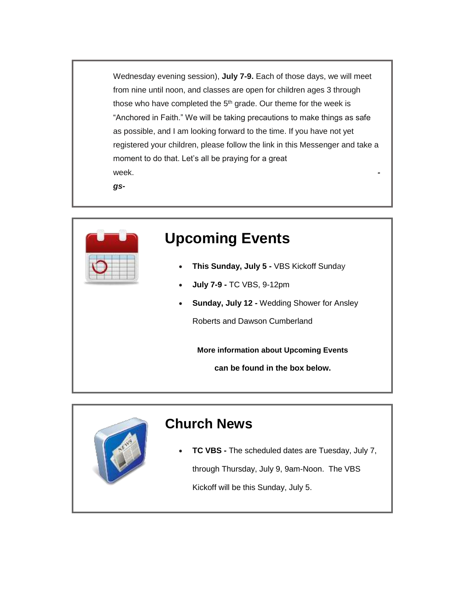Wednesday evening session), **July 7-9.** Each of those days, we will meet from nine until noon, and classes are open for children ages 3 through those who have completed the  $5<sup>th</sup>$  grade. Our theme for the week is "Anchored in Faith." We will be taking precautions to make things as safe as possible, and I am looking forward to the time. If you have not yet registered your children, please follow the link in this Messenger and take a moment to do that. Let's all be praying for a great week. *-*

*gs-*





 **TC VBS -** The scheduled dates are Tuesday, July 7, through Thursday, July 9, 9am-Noon. The VBS Kickoff will be this Sunday, July 5.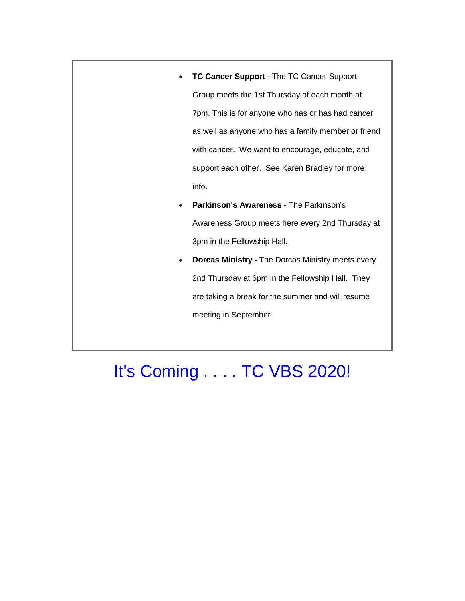- **TC Cancer Support -** The TC Cancer Support Group meets the 1st Thursday of each month at 7pm. This is for anyone who has or has had cancer as well as anyone who has a family member or friend with cancer. We want to encourage, educate, and support each other. See Karen Bradley for more info.
- **Parkinson's Awareness -** The Parkinson's Awareness Group meets here every 2nd Thursday at 3pm in the Fellowship Hall.
- **Dorcas Ministry -** The Dorcas Ministry meets every 2nd Thursday at 6pm in the Fellowship Hall. They are taking a break for the summer and will resume meeting in September.

# It's Coming . . . . TC VBS 2020!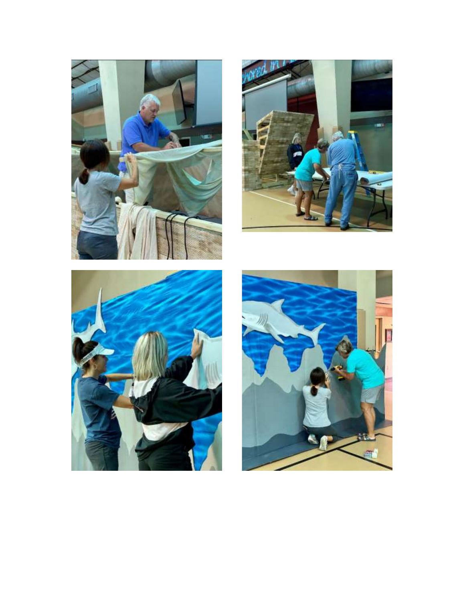





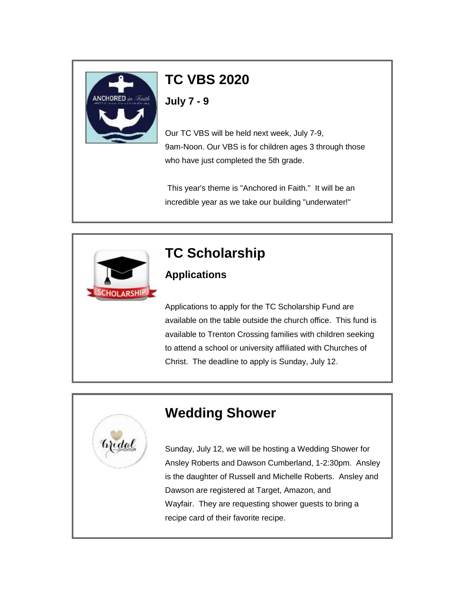

# **TC VBS 2020**

#### **July 7 - 9**

Our TC VBS will be held next week, July 7-9, 9am-Noon. Our VBS is for children ages 3 through those who have just completed the 5th grade.

This year's theme is "Anchored in Faith." It will be an incredible year as we take our building "underwater!"



idal

# **TC Scholarship**

#### **Applications**

Applications to apply for the TC Scholarship Fund are available on the table outside the church office. This fund is available to Trenton Crossing families with children seeking to attend a school or university affiliated with Churches of Christ. The deadline to apply is Sunday, July 12.



Sunday, July 12, we will be hosting a Wedding Shower for Ansley Roberts and Dawson Cumberland, 1-2:30pm. Ansley is the daughter of Russell and Michelle Roberts. Ansley and Dawson are registered at Target, Amazon, and Wayfair. They are requesting shower guests to bring a recipe card of their favorite recipe.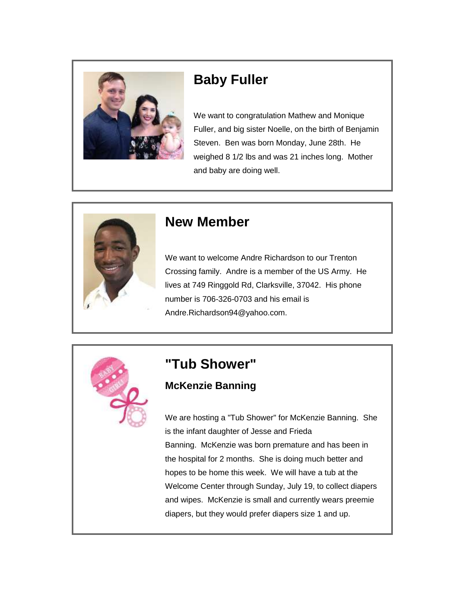

### **Baby Fuller**

We want to congratulation Mathew and Monique Fuller, and big sister Noelle, on the birth of Benjamin Steven. Ben was born Monday, June 28th. He weighed 8 1/2 lbs and was 21 inches long. Mother and baby are doing well.



### **New Member**

We want to welcome Andre Richardson to our Trenton Crossing family. Andre is a member of the US Army. He lives at 749 Ringgold Rd, Clarksville, 37042. His phone number is 706-326-0703 and his email is Andre.Richardson94@yahoo.com.



### **"Tub Shower"**

#### **McKenzie Banning**

We are hosting a "Tub Shower" for McKenzie Banning. She is the infant daughter of Jesse and Frieda Banning. McKenzie was born premature and has been in the hospital for 2 months. She is doing much better and hopes to be home this week. We will have a tub at the Welcome Center through Sunday, July 19, to collect diapers and wipes. McKenzie is small and currently wears preemie diapers, but they would prefer diapers size 1 and up.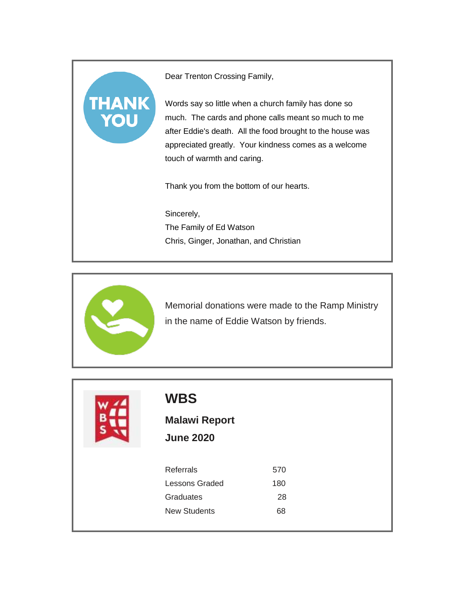Dear Trenton Crossing Family,

# **THANK** YOU

Words say so little when a church family has done so much. The cards and phone calls meant so much to me after Eddie's death. All the food brought to the house was appreciated greatly. Your kindness comes as a welcome touch of warmth and caring.

Thank you from the bottom of our hearts.

Sincerely, The Family of Ed Watson Chris, Ginger, Jonathan, and Christian



Memorial donations were made to the Ramp Ministry in the name of Eddie Watson by friends.

| <b>WBS</b><br><b>Malawi Report</b><br><b>June 2020</b> |     |  |
|--------------------------------------------------------|-----|--|
| <b>Referrals</b>                                       | 570 |  |
| Lessons Graded                                         | 180 |  |
| Graduates                                              | 28  |  |
| <b>New Students</b>                                    | 68  |  |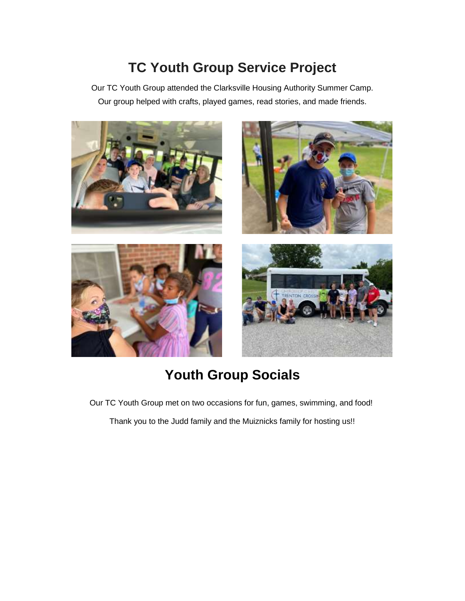### **TC Youth Group Service Project**

Our TC Youth Group attended the Clarksville Housing Authority Summer Camp. Our group helped with crafts, played games, read stories, and made friends.



# **Youth Group Socials**

Our TC Youth Group met on two occasions for fun, games, swimming, and food! Thank you to the Judd family and the Muiznicks family for hosting us!!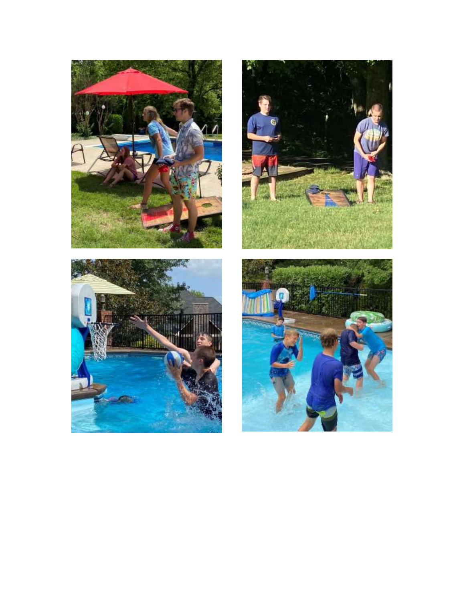





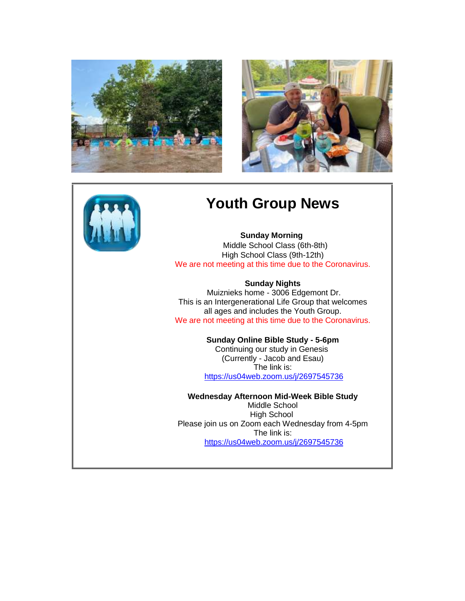





### **Youth Group News**

**Sunday Morning** Middle School Class (6th-8th) High School Class (9th-12th) We are not meeting at this time due to the Coronavirus.

**Sunday Nights** Muiznieks home - 3006 Edgemont Dr. This is an Intergenerational Life Group that welcomes all ages and includes the Youth Group. We are not meeting at this time due to the Coronavirus.

> **Sunday Online Bible Study - 5-6pm** Continuing our study in Genesis (Currently - Jacob and Esau) The link is: <https://us04web.zoom.us/j/2697545736>

**Wednesday Afternoon Mid-Week Bible Study** Middle School High School Please join us on Zoom each Wednesday from 4-5pm The link is: <https://us04web.zoom.us/j/2697545736>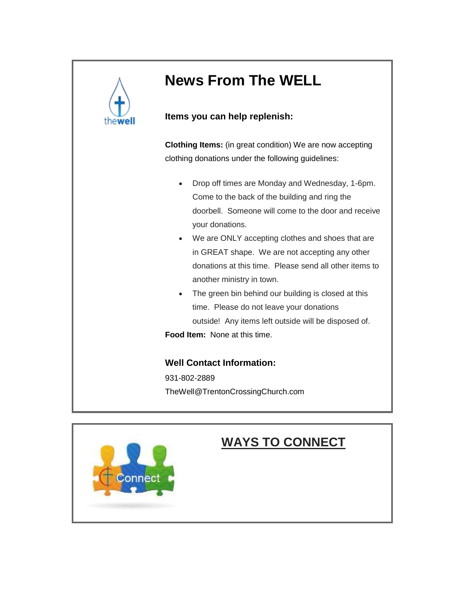

# **News From The WELL**

#### **Items you can help replenish:**

**Clothing Items:** (in great condition) We are now accepting clothing donations under the following guidelines:

- Drop off times are Monday and Wednesday, 1-6pm. Come to the back of the building and ring the doorbell. Someone will come to the door and receive your donations.
- We are ONLY accepting clothes and shoes that are in GREAT shape. We are not accepting any other donations at this time. Please send all other items to another ministry in town.
- The green bin behind our building is closed at this time. Please do not leave your donations outside! Any items left outside will be disposed of.

**Food Item:** None at this time.

#### **Well Contact Information:**

931-802-2889 TheWell@TrentonCrossingChurch.com



### **WAYS TO CONNECT**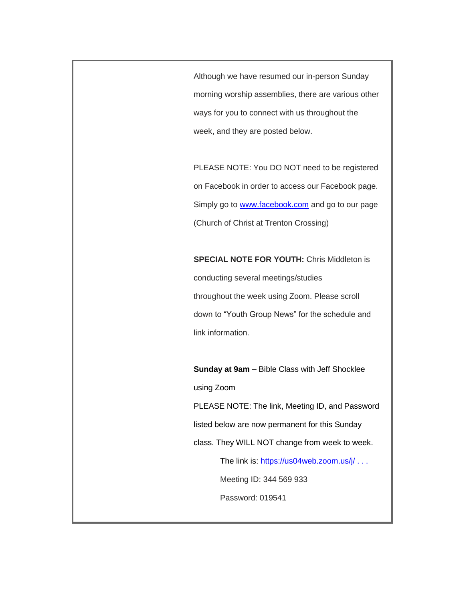Although we have resumed our in-person Sunday morning worship assemblies, there are various other ways for you to connect with us throughout the week, and they are posted below.

PLEASE NOTE: You DO NOT need to be registered on Facebook in order to access our Facebook page. Simply go to [www.facebook.com](http://www.facebook.com/) and go to our page (Church of Christ at Trenton Crossing)

**SPECIAL NOTE FOR YOUTH:** Chris Middleton is conducting several meetings/studies throughout the week using Zoom. Please scroll down to "Youth Group News" for the schedule and link information.

**Sunday at 9am –** Bible Class with Jeff Shocklee using Zoom PLEASE NOTE: The link, Meeting ID, and Password listed below are now permanent for this Sunday class. They WILL NOT change from week to week. The link is: <https://us04web.zoom.us/j/> . . . Meeting ID: 344 569 933 Password: 019541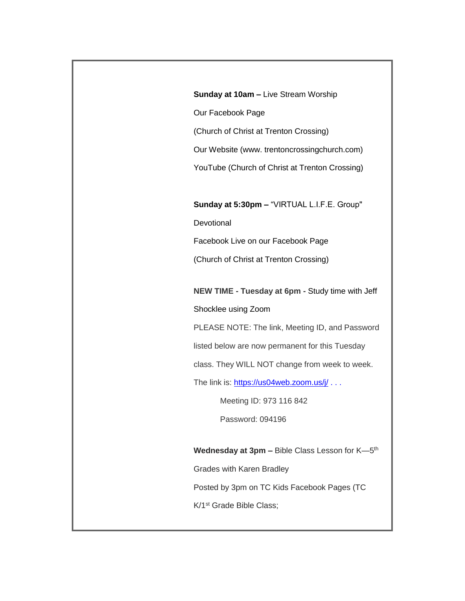**Sunday at 10am –** Live Stream Worship

Our Facebook Page

(Church of Christ at Trenton Crossing)

Our Website (www. trentoncrossingchurch.com)

YouTube (Church of Christ at Trenton Crossing)

**Sunday at 5:30pm –** "VIRTUAL L.I.F.E. Group"

**Devotional** 

Facebook Live on our Facebook Page

(Church of Christ at Trenton Crossing)

**NEW TIME - Tuesday at 6pm -** Study time with Jeff

Shocklee using Zoom

PLEASE NOTE: The link, Meeting ID, and Password

listed below are now permanent for this Tuesday

class. They WILL NOT change from week to week.

The link is:<https://us04web.zoom.us/j/> . . .

Meeting ID: 973 116 842

Password: 094196

Wednesday at 3pm - Bible Class Lesson for K-5<sup>th</sup>

Grades with Karen Bradley

Posted by 3pm on TC Kids Facebook Pages (TC

K/1st Grade Bible Class;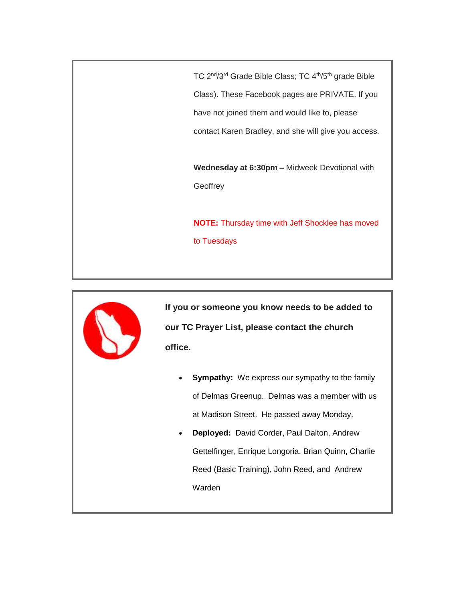TC 2nd/3rd Grade Bible Class; TC 4th/5th grade Bible Class). These Facebook pages are PRIVATE. If you have not joined them and would like to, please contact Karen Bradley, and she will give you access.

**Wednesday at 6:30pm –** Midweek Devotional with **Geoffrey** 

**NOTE:** Thursday time with Jeff Shocklee has moved to Tuesdays

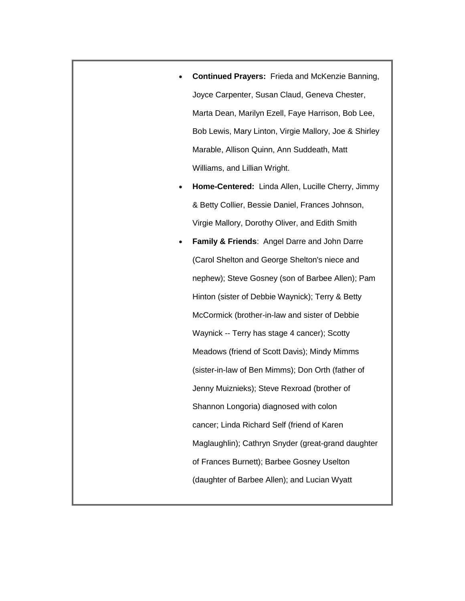- **Continued Prayers:** Frieda and McKenzie Banning, Joyce Carpenter, Susan Claud, Geneva Chester, Marta Dean, Marilyn Ezell, Faye Harrison, Bob Lee, Bob Lewis, Mary Linton, Virgie Mallory, Joe & Shirley Marable, Allison Quinn, Ann Suddeath, Matt Williams, and Lillian Wright.
- **Home-Centered:** Linda Allen, Lucille Cherry, Jimmy & Betty Collier, Bessie Daniel, Frances Johnson, Virgie Mallory, Dorothy Oliver, and Edith Smith
	- **Family & Friends**: Angel Darre and John Darre (Carol Shelton and George Shelton's niece and nephew); Steve Gosney (son of Barbee Allen); Pam Hinton (sister of Debbie Waynick); Terry & Betty McCormick (brother-in-law and sister of Debbie Waynick -- Terry has stage 4 cancer); Scotty Meadows (friend of Scott Davis); Mindy Mimms (sister-in-law of Ben Mimms); Don Orth (father of Jenny Muiznieks); Steve Rexroad (brother of Shannon Longoria) diagnosed with colon cancer; Linda Richard Self (friend of Karen Maglaughlin); Cathryn Snyder (great-grand daughter of Frances Burnett); Barbee Gosney Uselton (daughter of Barbee Allen); and Lucian Wyatt